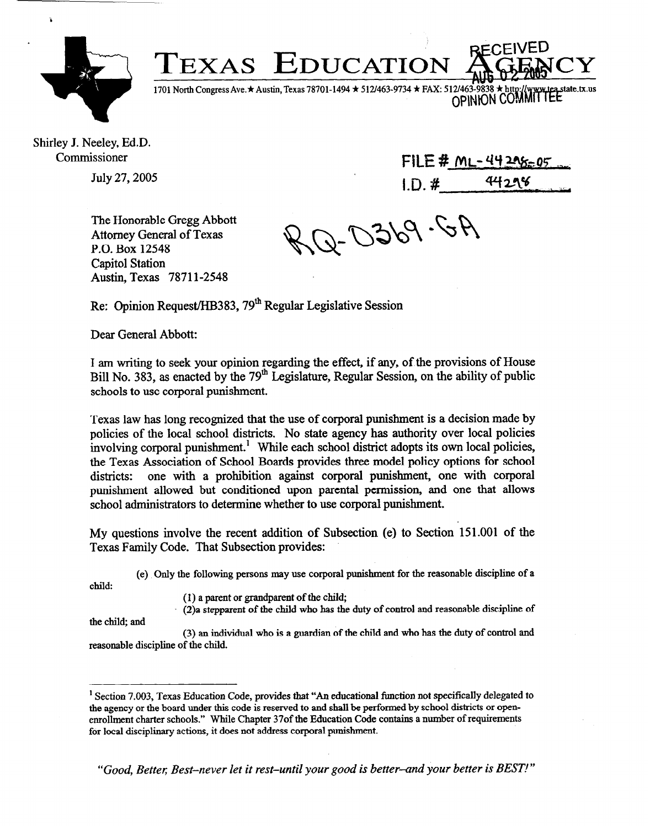

Î.

1701 North Congress Ave. ★ Austin, Texas 78701-1494 ★ 512/463-9734 ★ FAX: 512/463 state\_tx\_us OPINION COMMITTEE

Shirley J. Neeley, Ed.D. Commissioner

July 27,2005

FILE # ML-44208=05  $ID. #$   $44298$ 

The Honorable Gregg Abbott Attorney General of Texas P.O. Box 12548 Capitol Station Austin, Texas 78711-2548

0369.6A

Re: Opinion Request/HB383, 79<sup>th</sup> Regular Legislative Session

Dear General Abbott:

I am writing to seek your opinion regarding the effect, if any, of the provisions of House Bill No. 383, as enacted by the 79<sup>th</sup> Legislature, Regular Session, on the ability of public schools to use corporal punishment.

**TEXAS EDUCATION** 

Texas law has long recognized that the use of corporal punishment is a decision made by policies of the local school districts. No state agency has authority over local policies involving corporal punishment.' While each school district adopts its own local policies, the Texas Association of School Boards provides three model policy options for school districts: one with a prohibition against corporal punishment, one with corporal punishment allowed but conditioned upon parental permission, and one that allows school administrators to determine whether to use corporal punishment.

My questions involve the recent addition of Subsection (e) to Section 151 .OOl of the Texas Family Code. That Subsection provides:

(e) Only the following persons may use corporal punishment for the reasonable discipline of a

**Child:** 

(I) a parent or grandparent of the child;

(2)a stepparent of the child who has the duty of control and reasonable discipline of

the child; and

(3) an individual who is a guardian of the child and who has the duty of control and reasonable discipline of the child.

<sup>&#</sup>x27; Section 7.003, Texas Education Code, provides that "An educational function not specifically delegated to the agency or the board under this code is reserved to and shall be performed by school districts or openenrollment charter schools." While Chapter 370f the Education Code contains a number of requirements for local disciplinary actions, it does not address corporal punishment.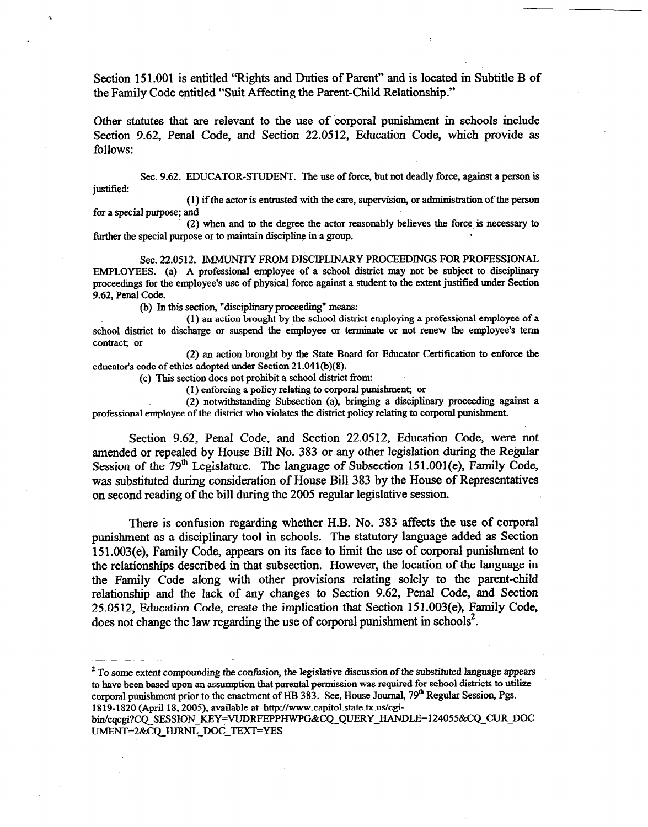Section 151.001 is entitled "Rights and Duties of Parent" and is located in Subtitle B of the Family Code entitled "Suit Affecting the Parent-Child Relationship."

Other statutes that are relevant to the use of corporal punishment in schools include Section 9.62, Penal Code, and Section 22.0512, Education Code, which provide as follows:

Sec. 9.62. EDUCATOR-STUDENT. The use of force, but not deadly force, against a person is justified:

(1) if the actor is entrusted with the care, supervision, or administration of the person for a special purpose; and

(2) when and to the degree the actor reasonably believes the force is necessary to further the special purpose or to maintain discipline in a group.

Sec. 22.0512. IMMUNITY FROM DISCIPLINARY PROCEEDINGS FOR PROFESSIONAL EMPLOYEES. (a) A professional employee of a school district may not be subject to disciplinary proceedings for the employee's use of physical force against a student to the extent justified under Section 9.62, Penal Code.

(b) In this section, "disciplinary proceeding" means:

(1) an action brought by the school district employing a professional employee of a school district to discharge or suspend the employee or terminate or not renew the employee's term contract; or

(2) an action brought by the State Board for Educator Certification to enforce the educator's code of ethics adopted under Section 21.041(b)(8).

(c) This section does not prohibit a school district from:

(1) enforcing a policy relating to corporal punishment; or

(2) notwithstanding Subsection (a), bringing a disciplinary proceeding against a professional employee of the district who violates the district policy relating to corporal punishment.

Section 9.62, Penal Code, and Section 22.0512, Education Code, were not amended or repealed by House Bill No. 383 or any other legislation during the Regular Session of the  $79<sup>th</sup>$  Legislature. The language of Subsection 151.001(e), Family Code, was substituted during consideration of House Bill 383 by the House of Representatives on second reading of the bill during the 2005 regular legislative session.

There is confusion regarding whether H.B. No. 383 affects the use of corporal punishment as a disciplinary tool in schools. The statutory language added as Section 151.003(e), Family Code, appears on its face to limit the use of corporal punishment to the relationships described in that subsection. However, the location of the language in the Family Code along with other provisions relating solely to the parent-child relationship and the lack of any changes to Section 9.62, Penal Code, and Section 25.0512, Education Code, create the implication that Section 15 1.003(e), Family Code, does not change the law regarding the use of corporal punishment in schools<sup>2</sup>.

 $<sup>2</sup>$  To some extent compounding the confusion, the legislative discussion of the substituted language appears</sup> to have been based upon an assumption that parental permission was required for school districts to utilize corporal punishment prior to the enactment of HB 383. See, House Journal, 79<sup>th</sup> Regular Session, Pgs. 1819-1820 (April 18, 2005), available at http://www.capitol.state.tx.us/cgi-

bin/cqcgi?CQ SESSION KEY=VUDRFEPPHWPG&CQ\_QUERY\_HANDLE=124055&CQ\_CUR\_DOC UMENT=2&CQ HJRNL DOC TEXT=YES